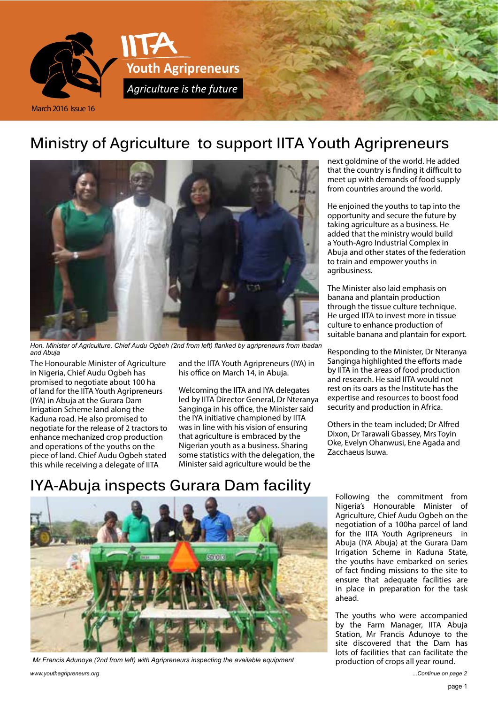

#### **Ministry of Agriculture to support IITA Youth Agripreneurs**



*Hon. Minister of Agriculture, Chief Audu Ogbeh (2nd from left) flanked by agripreneurs from Ibadan and Abuja*

The Honourable Minister of Agriculture in Nigeria, Chief Audu Ogbeh has promised to negotiate about 100 ha of land for the IITA Youth Agripreneurs (IYA) in Abuja at the Gurara Dam Irrigation Scheme land along the Kaduna road. He also promised to negotiate for the release of 2 tractors to enhance mechanized crop production and operations of the youths on the piece of land. Chief Audu Ogbeh stated this while receiving a delegate of IITA

and the IITA Youth Agripreneurs (IYA) in his office on March 14, in Abuja.

Welcoming the IITA and IYA delegates led by IITA Director General, Dr Nteranya Sanginga in his office, the Minister said the IYA initiative championed by IITA was in line with his vision of ensuring that agriculture is embraced by the Nigerian youth as a business. Sharing some statistics with the delegation, the Minister said agriculture would be the

next goldmine of the world. He added that the country is finding it difficult to meet up with demands of food supply from countries around the world.

He enjoined the youths to tap into the opportunity and secure the future by taking agriculture as a business. He added that the ministry would build a Youth-Agro Industrial Complex in Abuja and other states of the federation to train and empower youths in agribusiness.

The Minister also laid emphasis on banana and plantain production through the tissue culture technique. He urged IITA to invest more in tissue culture to enhance production of suitable banana and plantain for export.

Responding to the Minister, Dr Nteranya Sanginga highlighted the efforts made by IITA in the areas of food production and research. He said IITA would not rest on its oars as the Institute has the expertise and resources to boost food security and production in Africa.

Others in the team included; Dr Alfred Dixon, Dr Tarawali Gbassey, Mrs Toyin Oke, Evelyn Ohanwusi, Ene Agada and Zacchaeus Isuwa.

# **IYA-Abuja inspects Gurara Dam facility**



*Mr Francis Adunoye (2nd from left) with Agripreneurs inspecting the available equipment*

Following the commitment from Nigeria's Honourable Minister of Agriculture, Chief Audu Ogbeh on the negotiation of a 100ha parcel of land for the IITA Youth Agripreneurs in Abuja (IYA Abuja) at the Gurara Dam Irrigation Scheme in Kaduna State, the youths have embarked on series of fact finding missions to the site to ensure that adequate facilities are in place in preparation for the task ahead.

The youths who were accompanied by the Farm Manager, IITA Abuja Station, Mr Francis Adunoye to the site discovered that the Dam has lots of facilities that can facilitate the production of crops all year round.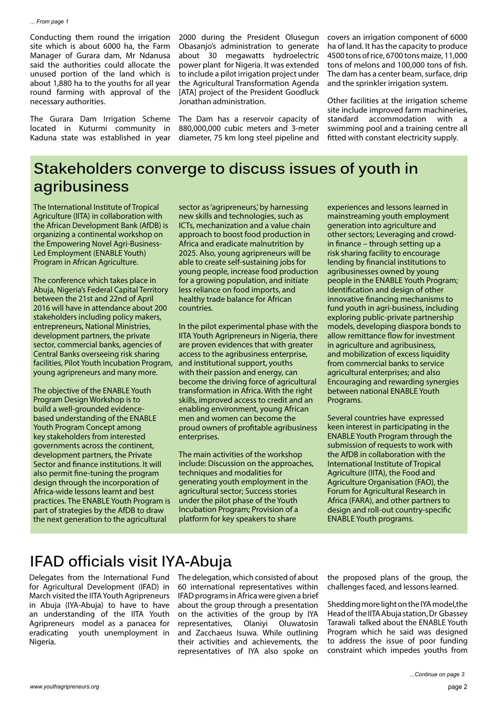Conducting them round the irrigation site which is about 6000 ha, the Farm Manager of Gurara dam, Mr Ndanusa said the authorities could allocate the unused portion of the land which is about 1,880 ha to the youths for all year round farming with approval of the necessary authorities.

The Gurara Dam Irrigation Scheme located in Kuturmi community in Kaduna state was established in year

2000 during the President Olusegun Obasanjo's administration to generate about 30 megawatts hydroelectric power plant for Nigeria. It was extended to include a pilot irrigation project under the Agricultural Transformation Agenda [ATA] project of the President Goodluck Jonathan administration.

The Dam has a reservoir capacity of 880,000,000 cubic meters and 3-meter diameter, 75 km long steel pipeline and covers an irrigation component of 6000 ha of land. It has the capacity to produce 4500 tons of rice, 6700 tons maize, 11,000 tons of melons and 100,000 tons of fish. The dam has a center beam, surface, drip and the sprinkler irrigation system.

Other facilities at the irrigation scheme site include improved farm machineries, standard accommodation with swimming pool and a training centre all fitted with constant electricity supply.

#### **Stakeholders converge to discuss issues of youth in agribusiness**

The International Institute of Tropical Agriculture (IITA) in collaboration with the African Development Bank (AfDB) is organizing a continental workshop on the Empowering Novel Agri-Business-Led Employment (ENABLE Youth) Program in African Agriculture.

The conference which takes place in Abuja, Nigeria's Federal Capital Territory between the 21st and 22nd of April 2016 will have in attendance about 200 stakeholders including policy makers, entrepreneurs, National Ministries, development partners, the private sector, commercial banks, agencies of Central Banks overseeing risk sharing facilities, Pilot Youth Incubation Program, young agripreneurs and many more.

The objective of the ENABLE Youth Program Design Workshop is to build a well-grounded evidencebased understanding of the ENABLE Youth Program Concept among key stakeholders from interested governments across the continent, development partners, the Private Sector and finance institutions. It will also permit fine-tuning the program design through the incorporation of Africa-wide lessons learnt and best practices. The ENABLE Youth Program is part of strategies by the AfDB to draw the next generation to the agricultural

sector as 'agripreneurs,' by harnessing new skills and technologies, such as ICTs, mechanization and a value chain approach to boost food production in Africa and eradicate malnutrition by 2025. Also, young agripreneurs will be able to create self-sustaining jobs for young people, increase food production for a growing population, and initiate less reliance on food imports, and healthy trade balance for African countries.

In the pilot experimental phase with the IITA Youth Agripreneurs in Nigeria, there are proven evidences that with greater access to the agribusiness enterprise, and institutional support, youths with their passion and energy, can become the driving force of agricultural transformation in Africa. With the right skills, improved access to credit and an enabling environment, young African men and women can become the proud owners of profitable agribusiness enterprises.

The main activities of the workshop include: Discussion on the approaches, techniques and modalities for generating youth employment in the agricultural sector; Success stories under the pilot phase of the Youth Incubation Program; Provision of a platform for key speakers to share

experiences and lessons learned in mainstreaming youth employment generation into agriculture and other sectors; Leveraging and crowdin finance – through setting up a risk sharing facility to encourage lending by financial institutions to agribusinesses owned by young people in the ENABLE Youth Program; Identification and design of other innovative financing mechanisms to fund youth in agri-business, including exploring public-private partnership models, developing diaspora bonds to allow remittance flow for investment in agriculture and agribusiness, and mobilization of excess liquidity from commercial banks to service agricultural enterprises; and also Encouraging and rewarding synergies between national ENABLE Youth Programs.

Several countries have expressed keen interest in participating in the ENABLE Youth Program through the submission of requests to work with the AfDB in collaboration with the International Institute of Tropical Agriculture (IITA), the Food and Agriculture Organisation (FAO), the Forum for Agricultural Research in Africa (FARA), and other partners to design and roll-out country-specific ENABLE Youth programs.

## **IFAD officials visit IYA-Abuja**

Delegates from the International Fund for Agricultural Development (IFAD) in March visited the IITA Youth Agripreneurs in Abuja (IYA-Abuja) to have to have an understanding of the IITA Youth Agripreneurs model as a panacea for eradicating youth unemployment in Nigeria.

The delegation, which consisted of about 60 international representatives within IFAD programs in Africa were given a brief about the group through a presentation on the activities of the group by IYA representatives, Olaniyi Oluwatosin and Zacchaeus Isuwa. While outlining their activities and achievements, the representatives of IYA also spoke on the proposed plans of the group, the challenges faced, and lessons learned.

Shedding more light on the IYA model,the Head of the IITA Abuja station, Dr Gbassey Tarawali talked about the ENABLE Youth Program which he said was designed to address the issue of poor funding constraint which impedes youths from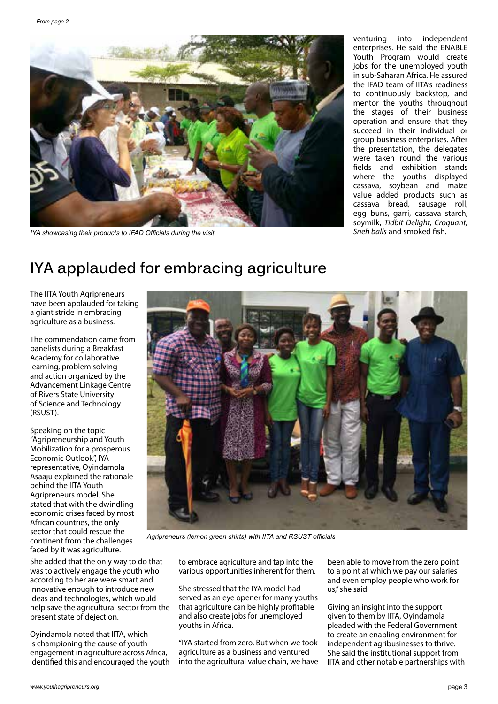

*IYA showcasing their products to IFAD Officials during the visit*

venturing into independent enterprises. He said the ENABLE Youth Program would create jobs for the unemployed youth in sub-Saharan Africa. He assured the IFAD team of IITA's readiness to continuously backstop, and mentor the youths throughout the stages of their business operation and ensure that they succeed in their individual or group business enterprises. After the presentation, the delegates were taken round the various fields and exhibition stands where the youths displayed cassava, soybean and maize value added products such as cassava bread, sausage roll, egg buns, garri, cassava starch, soymilk, *Tidbit Delight, Croquant, Sneh balls* and smoked fish.

### **IYA applauded for embracing agriculture**

The IITA Youth Agripreneurs have been applauded for taking a giant stride in embracing agriculture as a business.

The commendation came from panelists during a Breakfast Academy for collaborative learning, problem solving and action organized by the Advancement Linkage Centre of Rivers State University of Science and Technology (RSUST).

Speaking on the topic "Agripreneurship and Youth Mobilization for a prosperous Economic Outlook", IYA representative, Oyindamola Asaaju explained the rationale behind the IITA Youth Agripreneurs model. She stated that with the dwindling economic crises faced by most African countries, the only sector that could rescue the continent from the challenges faced by it was agriculture.

She added that the only way to do that was to actively engage the youth who according to her are were smart and innovative enough to introduce new ideas and technologies, which would help save the agricultural sector from the present state of dejection.

Oyindamola noted that IITA, which is championing the cause of youth engagement in agriculture across Africa, identified this and encouraged the youth



*Agripreneurs (lemon green shirts) with IITA and RSUST officials*

to embrace agriculture and tap into the various opportunities inherent for them.

She stressed that the IYA model had served as an eye opener for many youths that agriculture can be highly profitable and also create jobs for unemployed youths in Africa.

"IYA started from zero. But when we took agriculture as a business and ventured into the agricultural value chain, we have been able to move from the zero point to a point at which we pay our salaries and even employ people who work for us," she said.

Giving an insight into the support given to them by IITA, Oyindamola pleaded with the Federal Government to create an enabling environment for independent agribusinesses to thrive. She said the institutional support from IITA and other notable partnerships with